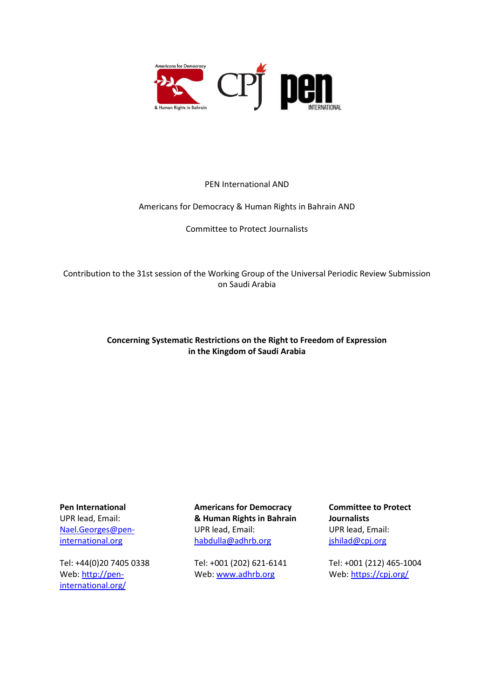

#### PEN International AND

#### Americans for Democracy & Human Rights in Bahrain AND

Committee to Protect Journalists

Contribution to the 31st session of the Working Group of the Universal Periodic Review Submission on Saudi Arabia

#### **Concerning Systematic Restrictions on the Right to Freedom of Expression in the Kingdom of Saudi Arabia**

**Pen International** UPR lead, Email: [Nael.Georges@pen](mailto:Nael.Georges@pen-international.org)[international.org](mailto:Nael.Georges@pen-international.org)

Tel: +44(0)20 7405 0338 Web[: http://pen](http://pen-international.org/)[international.org/](http://pen-international.org/)

**Americans for Democracy & Human Rights in Bahrain** UPR lead, Email: [habdulla@adhrb.org](mailto:habdulla@adhrb.org)

Tel: +001 (202) 621-6141 Web[: www.adhrb.org](http://www.adhrb.org/)

**Committee to Protect Journalists** UPR lead, Email: [jshilad@cpj.org](mailto:jshilad@cpj.org)

Tel: +001 (212) 465-1004 Web:<https://cpj.org/>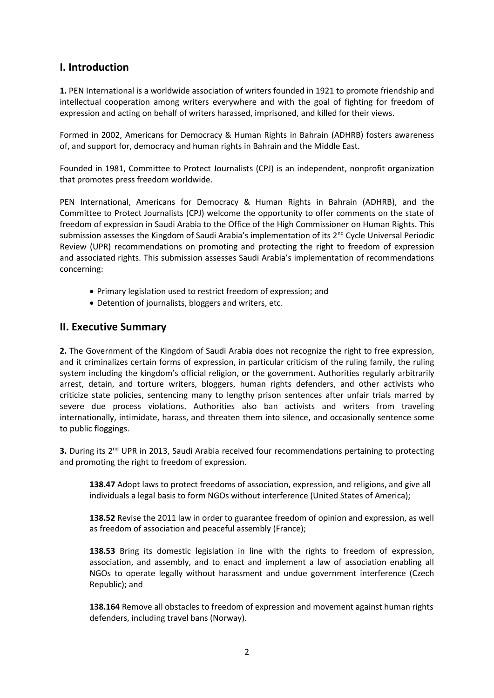### **I. Introduction**

**1.** PEN International is a worldwide association of writers founded in 1921 to promote friendship and intellectual cooperation among writers everywhere and with the goal of fighting for freedom of expression and acting on behalf of writers harassed, imprisoned, and killed for their views.

Formed in 2002, Americans for Democracy & Human Rights in Bahrain (ADHRB) fosters awareness of, and support for, democracy and human rights in Bahrain and the Middle East.

Founded in 1981, Committee to Protect Journalists (CPJ) is an independent, nonprofit organization that promotes press freedom worldwide.

PEN International, Americans for Democracy & Human Rights in Bahrain (ADHRB), and the Committee to Protect Journalists (CPJ) welcome the opportunity to offer comments on the state of freedom of expression in Saudi Arabia to the Office of the High Commissioner on Human Rights. This submission assesses the Kingdom of Saudi Arabia's implementation of its 2<sup>nd</sup> Cycle Universal Periodic Review (UPR) recommendations on promoting and protecting the right to freedom of expression and associated rights. This submission assesses Saudi Arabia's implementation of recommendations concerning:

- Primary legislation used to restrict freedom of expression; and
- Detention of journalists, bloggers and writers, etc.

#### **II. Executive Summary**

**2.** The Government of the Kingdom of Saudi Arabia does not recognize the right to free expression, and it criminalizes certain forms of expression, in particular criticism of the ruling family, the ruling system including the kingdom's official religion, or the government. Authorities regularly arbitrarily arrest, detain, and torture writers, bloggers, human rights defenders, and other activists who criticize state policies, sentencing many to lengthy prison sentences after unfair trials marred by severe due process violations. Authorities also ban activists and writers from traveling internationally, intimidate, harass, and threaten them into silence, and occasionally sentence some to public floggings.

**3.** During its 2<sup>nd</sup> UPR in 2013, Saudi Arabia received four recommendations pertaining to protecting and promoting the right to freedom of expression.

**138.47** Adopt laws to protect freedoms of association, expression, and religions, and give all individuals a legal basis to form NGOs without interference (United States of America);

**138.52** Revise the 2011 law in order to guarantee freedom of opinion and expression, as well as freedom of association and peaceful assembly (France);

**138.53** Bring its domestic legislation in line with the rights to freedom of expression, association, and assembly, and to enact and implement a law of association enabling all NGOs to operate legally without harassment and undue government interference (Czech Republic); and

**138.164** Remove all obstacles to freedom of expression and movement against human rights defenders, including travel bans (Norway).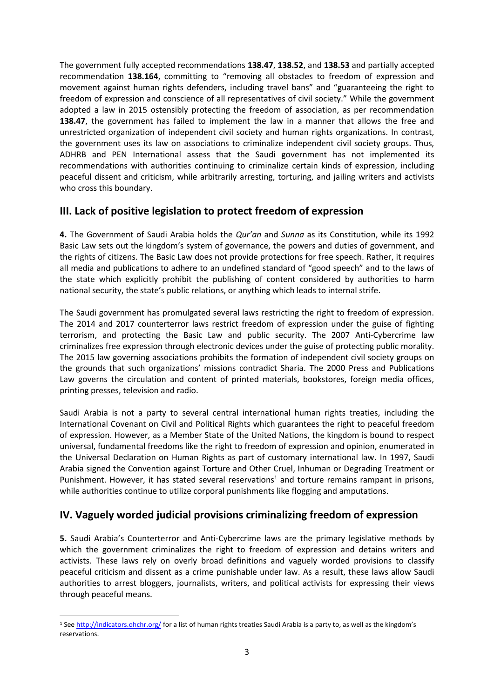The government fully accepted recommendations **138.47**, **138.52**, and **138.53** and partially accepted recommendation **138.164**, committing to "removing all obstacles to freedom of expression and movement against human rights defenders, including travel bans" and "guaranteeing the right to freedom of expression and conscience of all representatives of civil society." While the government adopted a law in 2015 ostensibly protecting the freedom of association, as per recommendation **138.47**, the government has failed to implement the law in a manner that allows the free and unrestricted organization of independent civil society and human rights organizations. In contrast, the government uses its law on associations to criminalize independent civil society groups. Thus, ADHRB and PEN International assess that the Saudi government has not implemented its recommendations with authorities continuing to criminalize certain kinds of expression, including peaceful dissent and criticism, while arbitrarily arresting, torturing, and jailing writers and activists who cross this boundary.

### **III. Lack of positive legislation to protect freedom of expression**

**4.** The Government of Saudi Arabia holds the *Qur'an* and *Sunna* as its Constitution, while its [1992](http://www.wipo.int/wipolex/en/text.jsp?file_id=200064) [Basic](http://www.wipo.int/wipolex/en/text.jsp?file_id=200064) Law sets out the kingdom's system of governance, the powers and duties of government, and the rights of citizens. The Basic Law does not provide protections for free speech. Rather, it requires all media and publications to adhere to an undefined standard of "good speech" and to the laws of the state which explicitly prohibit the publishing of content considered by authorities to harm national security, the state's public relations, or anything which leads to internal strife.

The Saudi government has promulgated several laws restricting the right to freedom of expression. The 2014 and 2017 counterterror laws restrict freedom of expression under the guise of fighting terrorism, and protecting the Basic Law and public security. The 2007 Anti-Cybercrime law criminalizes free expression through electronic devices under the guise of protecting public morality. The 2015 law governing associations prohibits the formation of independent civil society groups on the grounds that such organizations' missions contradict Sharia. The 2000 Press and Publications Law governs the circulation and content of printed materials, bookstores, foreign media offices, printing presses, television and radio.

Saudi Arabia is not a party to several central international human rights treaties, including the International Covenant on Civil and Political Rights which guarantees the right to peaceful freedom of expression. However, as a Member State of the United Nations, the kingdom is bound to respect universal, fundamental freedoms like the right to freedom of expression and opinion, enumerated in the Universal Declaration on Human Rights as part of customary international law. In 1997, Saudi Arabia signed the Convention against Torture and Other Cruel, Inhuman or Degrading Treatment or Punishment. However, it has stated several reservations<sup>1</sup> and torture remains rampant in prisons, while authorities continue to utilize corporal punishments like flogging and amputations.

# **IV. Vaguely worded judicial provisions criminalizing freedom of expression**

**5.** Saudi Arabia's Counterterror and Anti-Cybercrime laws are the primary legislative methods by which the government criminalizes the right to freedom of expression and detains writers and activists. These laws rely on overly broad definitions and vaguely worded provisions to classify peaceful criticism and dissent as a crime punishable under law. As a result, these laws allow Saudi authorities to arrest bloggers, journalists, writers, and political activists for expressing their views through peaceful means.

<sup>1</sup> Se[e http://indicators.ohchr.org/](http://indicators.ohchr.org/) for a list of human rights treaties Saudi Arabia is a party to, as well as the kingdom's reservations.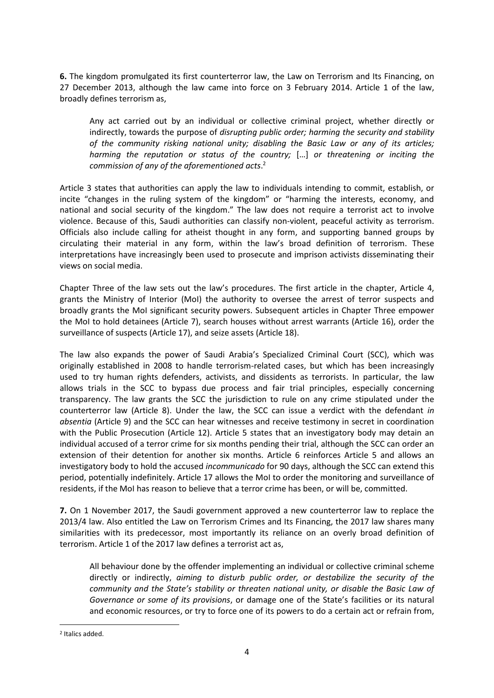**6.** The kingdom promulgated its first counterterror law, the Law on Terrorism and Its Financing, on 27 December 2013, although the law came into force on 3 February 2014. Article 1 of the law, broadly defines terrorism as,

Any act carried out by an individual or collective criminal project, whether directly or indirectly, towards the purpose of *disrupting public order; harming the security and stability of the community risking national unity; disabling the Basic Law or any of its articles; harming the reputation or status of the country;* […] *or threatening or inciting the commission of any of the aforementioned acts*. 2

Article 3 states that authorities can apply the law to individuals intending to commit, establish, or incite "changes in the ruling system of the kingdom" or "harming the interests, economy, and national and social security of the kingdom." The law does not require a terrorist act to involve violence. Because of this, Saudi authorities can classify non-violent, peaceful activity as terrorism. Officials also include calling for atheist thought in any form, and supporting banned groups by circulating their material in any form, within the law's broad definition of terrorism. These interpretations have increasingly been used to prosecute and imprison activists disseminating their views on social media.

Chapter Three of the law sets out the law's procedures. The first article in the chapter, Article 4, grants the Ministry of Interior (MoI) the authority to oversee the arrest of terror suspects and broadly grants the MoI significant security powers. Subsequent articles in Chapter Three empower the MoI to hold detainees (Article 7), search houses without arrest warrants (Article 16), order the surveillance of suspects (Article 17), and seize assets (Article 18).

The law also expands the power of Saudi Arabia's Specialized Criminal Court (SCC), which was originally established in 2008 to handle terrorism-related cases, but which has been increasingly used to try human rights defenders, activists, and dissidents as terrorists. In particular, the law allows trials in the SCC to bypass due process and fair trial principles, especially concerning transparency. The law grants the SCC the jurisdiction to rule on any crime stipulated under the counterterror law (Article 8). Under the law, the SCC can issue a verdict with the defendant *in absentia* (Article 9) and the SCC can hear witnesses and receive testimony in secret in coordination with the Public Prosecution (Article 12). Article 5 states that an investigatory body may detain an individual accused of a terror crime for six months pending their trial, although the SCC can order an extension of their detention for another six months. Article 6 reinforces Article 5 and allows an investigatory body to hold the accused *incommunicado* for 90 days, although the SCC can extend this period, potentially indefinitely. Article 17 allows the MoI to order the monitoring and surveillance of residents, if the MoI has reason to believe that a terror crime has been, or will be, committed.

**7.** On 1 November 2017, the Saudi government approved a new counterterror law to replace the 2013/4 law. Also entitled the Law on Terrorism Crimes and Its Financing, the 2017 law shares many similarities with its predecessor, most importantly its reliance on an overly broad definition of terrorism. Article 1 of the 2017 law defines a terrorist act as,

All behaviour done by the offender implementing an individual or collective criminal scheme directly or indirectly, *aiming to disturb public order, or destabilize the security of the community and the State's stability or threaten national unity, or disable the Basic Law of Governance or some of its provisions*, or damage one of the State's facilities or its natural and economic resources, or try to force one of its powers to do a certain act or refrain from,

1

<sup>2</sup> Italics added.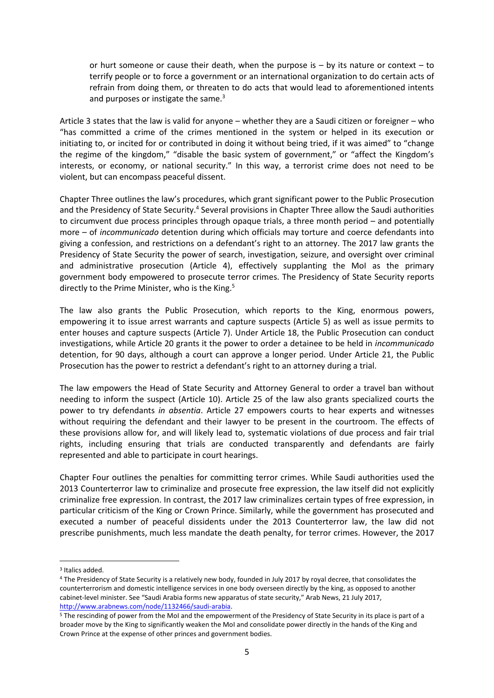or hurt someone or cause their death, when the purpose is  $-$  by its nature or context  $-$  to terrify people or to force a government or an international organization to do certain acts of refrain from doing them, or threaten to do acts that would lead to aforementioned intents and purposes or instigate the same. $3$ 

Article 3 states that the law is valid for anyone – whether they are a Saudi citizen or foreigner – who "has committed a crime of the crimes mentioned in the system or helped in its execution or initiating to, or incited for or contributed in doing it without being tried, if it was aimed" to "change the regime of the kingdom," "disable the basic system of government," or "affect the Kingdom's interests, or economy, or national security." In this way, a terrorist crime does not need to be violent, but can encompass peaceful dissent.

Chapter Three outlines the law's procedures, which grant significant power to the Public Prosecution and the Presidency of State Security.<sup>4</sup> Several provisions in Chapter Three allow the Saudi authorities to circumvent due process principles through opaque trials, a three month period – and potentially more – of *incommunicado* detention during which officials may torture and coerce defendants into giving a confession, and restrictions on a defendant's right to an attorney. The 2017 law grants the Presidency of State Security the power of search, investigation, seizure, and oversight over criminal and administrative prosecution (Article 4), effectively supplanting the MoI as the primary government body empowered to prosecute terror crimes. The Presidency of State Security reports directly to the Prime Minister, who is the King. $5$ 

The law also grants the Public Prosecution, which reports to the King, enormous powers, empowering it to issue arrest warrants and capture suspects (Article 5) as well as issue permits to enter houses and capture suspects (Article 7). Under Article 18, the Public Prosecution can conduct investigations, while Article 20 grants it the power to order a detainee to be held in *incommunicado* detention, for 90 days, although a court can approve a longer period. Under Article 21, the Public Prosecution has the power to restrict a defendant's right to an attorney during a trial.

The law empowers the Head of State Security and Attorney General to order a travel ban without needing to inform the suspect (Article 10). Article 25 of the law also grants specialized courts the power to try defendants *in absentia*. Article 27 empowers courts to hear experts and witnesses without requiring the defendant and their lawyer to be present in the courtroom. The effects of these provisions allow for, and will likely lead to, systematic violations of due process and fair trial rights, including ensuring that trials are conducted transparently and defendants are fairly represented and able to participate in court hearings.

Chapter Four outlines the penalties for committing terror crimes. While Saudi authorities used the 2013 Counterterror law to criminalize and prosecute free expression, the law itself did not explicitly criminalize free expression. In contrast, the 2017 law criminalizes certain types of free expression, in particular criticism of the King or Crown Prince. Similarly, while the government has prosecuted and executed a number of peaceful dissidents under the 2013 Counterterror law, the law did not prescribe punishments, much less mandate the death penalty, for terror crimes. However, the 2017

<sup>3</sup> Italics added.

<sup>4</sup> The Presidency of State Security is a relatively new body, founded in July 2017 by royal decree, that consolidates the counterterrorism and domestic intelligence services in one body overseen directly by the king, as opposed to another cabinet-level minister. See "Saudi Arabia forms new apparatus of state security," Arab News, 21 July 2017, [http://www.arabnews.com/node/1132466/saudi-arabia.](http://www.arabnews.com/node/1132466/saudi-arabia)

<sup>5</sup> The rescinding of power from the MoI and the empowerment of the Presidency of State Security in its place is part of a broader move by the King to significantly weaken the MoI and consolidate power directly in the hands of the King and Crown Prince at the expense of other princes and government bodies.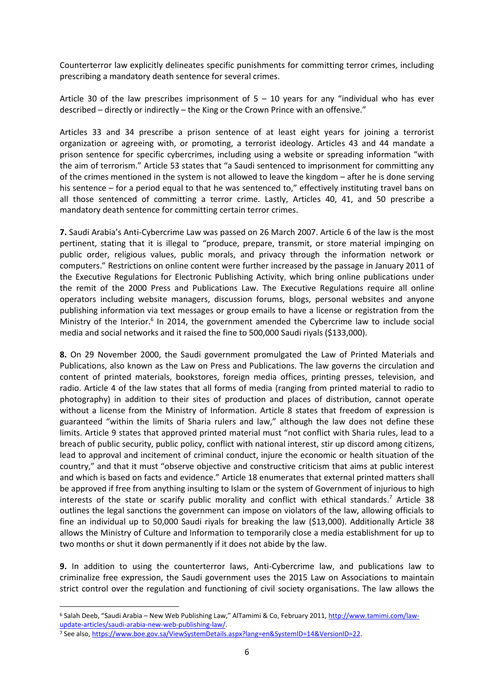Counterterror law explicitly delineates specific punishments for committing terror crimes, including prescribing a mandatory death sentence for several crimes.

Article 30 of the law prescribes imprisonment of  $5 - 10$  years for any "individual who has ever described – directly or indirectly – the King or the Crown Prince with an offensive."

Articles 33 and 34 prescribe a prison sentence of at least eight years for joining a terrorist organization or agreeing with, or promoting, a terrorist ideology. Articles 43 and 44 mandate a prison sentence for specific cybercrimes, including using a website or spreading information "with the aim of terrorism." Article 53 states that "a Saudi sentenced to imprisonment for committing any of the crimes mentioned in the system is not allowed to leave the kingdom – after he is done serving his sentence – for a period equal to that he was sentenced to," effectively instituting travel bans on all those sentenced of committing a terror crime. Lastly, Articles 40, 41, and 50 prescribe a mandatory death sentence for committing certain terror crimes.

**7.** Saudi Arabia's Anti-Cybercrime Law was passed on 26 March 2007. Article 6 of the law is the most pertinent, stating that it is illegal to "produce, prepare, transmit, or store material impinging on public order, religious values, public morals, and privacy through the information network or computers." Restrictions on online content were further increased by the passage in January 2011 of the Executive Regulations for Electronic Publishing Activity, which bring online publications under the remit of the 2000 Press and Publications Law. The Executive Regulations require all online operators including website managers, discussion forums, blogs, personal websites and anyone publishing information via text messages or group emails to have a license or registration from the Ministry of the Interior.<sup>6</sup> In 2014, the government amended the Cybercrime law to include social media and social networks and it raised the fine to 500,000 Saudi riyals (\$133,000).

**8.** On 29 November 2000, the Saudi government promulgated the Law of Printed Materials and Publications, also known as the Law on Press and Publications. The law governs the circulation and content of printed materials, bookstores, foreign media offices, printing presses, television, and radio. Article 4 of the law states that all forms of media (ranging from printed material to radio to photography) in addition to their sites of production and places of distribution, cannot operate without a license from the Ministry of Information. Article 8 states that freedom of expression is guaranteed "within the limits of Sharia rulers and law," although the law does not define these limits. Article 9 states that approved printed material must "not conflict with Sharia rules, lead to a breach of public security, public policy, conflict with national interest, stir up discord among citizens, lead to approval and incitement of criminal conduct, injure the economic or health situation of the country," and that it must "observe objective and constructive criticism that aims at public interest and which is based on facts and evidence." Article 18 enumerates that external printed matters shall be approved if free from anything insulting to Islam or the system of Government of injurious to high interests of the state or scarify public morality and conflict with ethical standards.<sup>7</sup> Article 38 outlines the legal sanctions the government can impose on violators of the law, allowing officials to fine an individual up to 50,000 Saudi riyals for breaking the law (\$13,000). Additionally Article 38 allows the Ministry of Culture and Information to temporarily close a media establishment for up to two months or shut it down permanently if it does not abide by the law.

**9.** In addition to using the counterterror laws, Anti-Cybercrime law, and publications law to criminalize free expression, the Saudi government uses the 2015 Law on Associations to maintain strict control over the regulation and functioning of civil society organisations. The law allows the

<sup>6</sup> Salah Deeb, "Saudi Arabia – New Web Publishing Law," AlTamimi & Co, February 2011, [http://www.tamimi.com/law](http://www.tamimi.com/law-update-articles/saudi-arabia-new-web-publishing-law/)[update-articles/saudi-arabia-new-web-publishing-law/.](http://www.tamimi.com/law-update-articles/saudi-arabia-new-web-publishing-law/)

<sup>7</sup> See also, [https://www.boe.gov.sa/ViewSystemDetails.aspx?lang=en&SystemID=14&VersionID=22.](https://www.boe.gov.sa/ViewSystemDetails.aspx?lang=en&SystemID=14&VersionID=22)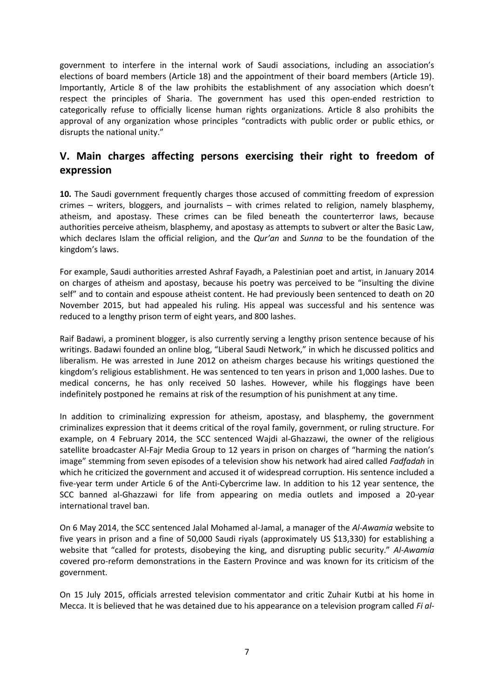government to interfere in the internal work of Saudi associations, including an association's elections of board members (Article 18) and the appointment of their board members (Article 19). Importantly, Article 8 of the law prohibits the establishment of any association which doesn't respect the principles of Sharia. The government has used this open-ended restriction to categorically refuse to officially license human rights organizations. Article 8 also prohibits the approval of any organization whose principles "contradicts with public order or public ethics, or disrupts the national unity."

### **V. Main charges affecting persons exercising their right to freedom of expression**

**10.** The Saudi government frequently charges those accused of committing freedom of expression crimes – writers, bloggers, and journalists – with crimes related to religion, namely blasphemy, atheism, and apostasy. These crimes can be filed beneath the counterterror laws, because authorities perceive atheism, blasphemy, and apostasy as attempts to subvert or alter the Basic Law, which declares Islam the official religion, and the *Qur'an* and *Sunna* to be the foundation of the kingdom's laws.

For example, Saudi authorities arrested Ashraf Fayadh, a Palestinian poet and artist, in January 2014 on charges of atheism and apostasy, because his poetry was perceived to be "insulting the divine self" and to contain and espouse atheist content. He had previously been sentenced to death on 20 November 2015, but had appealed his ruling. His appeal was successful and his sentence was reduced to a lengthy prison term of eight years, and 800 lashes.

Raif Badawi, a prominent blogger, is also currently serving a lengthy prison sentence because of his writings. Badawi founded an online blog, "Liberal Saudi Network," in which he discussed politics and liberalism. He was arrested in June 2012 on atheism charges because his writings questioned the kingdom's religious establishment. He was sentenced to ten years in prison and 1,000 lashes. Due to medical concerns, he has only received 50 lashes. However, while his floggings have been indefinitely postponed he remains at risk of the resumption of his punishment at any time.

In addition to criminalizing expression for atheism, apostasy, and blasphemy, the government criminalizes expression that it deems critical of the royal family, government, or ruling structure. For example, on 4 February 2014, the SCC sentenced Wajdi al-Ghazzawi, the owner of the religious satellite broadcaster Al-Fajr Media Group to 12 years in prison on charges of "harming the nation's image" stemming from seven episodes of a television show his network had aired called *Fadfadah* in which he criticized the government and accused it of widespread corruption. His sentence included a five-year term under Article 6 of the Anti-Cybercrime law. In addition to his 12 year sentence, the SCC banned al-Ghazzawi for life from appearing on media outlets and imposed a 20-year international travel ban.

On 6 May 2014, the SCC sentenced Jalal Mohamed al-Jamal, a manager of the *Al-Awamia* website to five years in prison and a fine of 50,000 Saudi riyals (approximately US \$13,330) for establishing a website that "called for protests, disobeying the king, and disrupting public security." *Al-Awamia* covered pro-reform demonstrations in the Eastern Province and was known for its criticism of the government.

On 15 July 2015, officials arrested television commentator and critic Zuhair Kutbi at his home in Mecca. It is believed that he was detained due to his appearance on a television program called *Fi al-*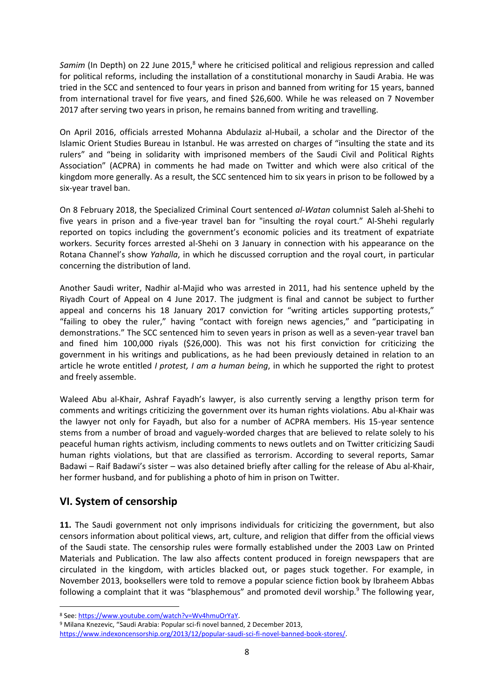*Samim* (In Depth) on 22 June 2015,<sup>8</sup> where he criticised political and religious repression and called for political reforms, including the installation of a constitutional monarchy in Saudi Arabia. He was tried in the SCC and sentenced to four years in prison and banned from writing for 15 years, banned from international travel for five years, and fined \$26,600. While he was released on 7 November 2017 after serving two years in prison, he remains banned from writing and travelling.

On April 2016, officials arrested Mohanna Abdulaziz al-Hubail, a scholar and the Director of the Islamic Orient Studies Bureau in Istanbul. He was arrested on charges of "insulting the state and its rulers" and "being in solidarity with imprisoned members of the Saudi Civil and Political Rights Association" (ACPRA) in comments he had made on Twitter and which were also critical of the kingdom more generally. As a result, the SCC sentenced him to six years in prison to be followed by a six-year travel ban.

On 8 February 2018, the Specialized Criminal Court sentenced *al-Watan* columnist Saleh al-Shehi to five years in prison and a five-year travel ban for "insulting the royal court." Al-Shehi regularly reported on topics including the government's economic policies and its treatment of expatriate workers. Security forces arrested al-Shehi on 3 January in connection with his appearance on the Rotana Channel's show *Yahalla*, in which he discussed corruption and the royal court, in particular concerning the distribution of land.

Another Saudi writer, Nadhir al-Majid who was arrested in 2011, had his sentence upheld by the Riyadh Court of Appeal on 4 June 2017. The judgment is final and cannot be subject to further appeal and concerns his 18 January 2017 conviction for "writing articles supporting protests," "failing to obey the ruler," having "contact with foreign news agencies," and "participating in demonstrations." The SCC sentenced him to seven years in prison as well as a seven-year travel ban and fined him 100,000 riyals (\$26,000). This was not his first conviction for criticizing the government in his writings and publications, as he had been previously detained in relation to an article he wrote entitled *I [protest,](http://ns1.almothaqaf.com/aqlam2009/46544.html) I am a human being*, in which he supported the right to protest and freely assemble.

Waleed Abu al-Khair, Ashraf Fayadh's lawyer, is also currently serving a lengthy prison term for comments and writings criticizing the government over its human rights violations. Abu al-Khair was the lawyer not only for Fayadh, but also for a number of ACPRA members. His 15-year sentence stems from a number of broad and vaguely-worded charges that are believed to relate solely to his peaceful human rights activism, including comments to news outlets and on Twitter criticizing Saudi human rights violations, but that are classified as terrorism. According to several reports, Samar Badawi – Raif Badawi's sister – was also detained briefly after calling for the release of Abu al-Khair, her former husband, and for publishing a photo of him in prison on Twitter.

# **VI. System of censorship**

**.** 

**11.** The Saudi government not only imprisons individuals for criticizing the government, but also censors information about political views, art, culture, and religion that differ from the official views of the Saudi state. The censorship rules were formally established under the 2003 Law on Printed Materials and Publication. The law also affects content produced in foreign newspapers that are circulated in the kingdom, with articles blacked out, or pages stuck together. For example, in November 2013, booksellers were told to remove a popular science fiction book by Ibraheem Abbas following a complaint that it was "blasphemous" and promoted devil worship.<sup>9</sup> The following year,

<sup>8</sup> See[: https://www.youtube.com/watch?v=Wv4hmuOrYaY.](https://www.youtube.com/watch?v=Wv4hmuOrYaY)

<sup>9</sup> Milana Knezevic, "Saudi Arabia: Popular sci-fi novel banned, 2 December 2013, [https://www.indexoncensorship.org/2013/12/popular-saudi-sci-fi-novel-banned-book-stores/.](https://www.indexoncensorship.org/2013/12/popular-saudi-sci-fi-novel-banned-book-stores/)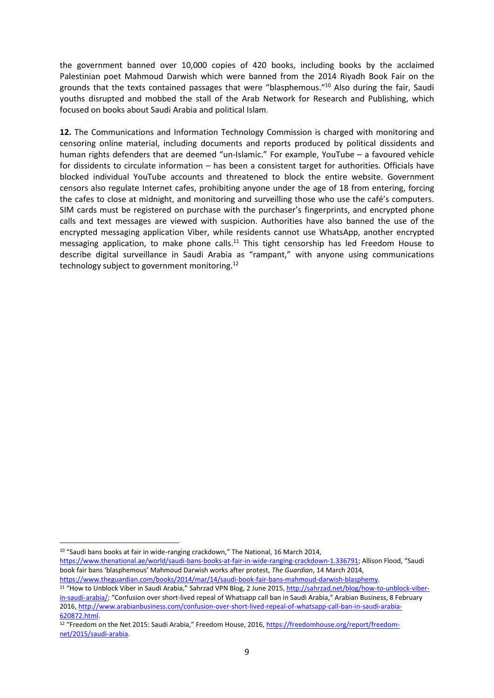the government banned over 10,000 copies of 420 books, including books by the acclaimed Palestinian poet Mahmoud Darwish which were banned from the 2014 Riyadh Book Fair on the grounds that the texts contained passages that were "blasphemous."<sup>10</sup> Also during the fair, Saudi youths disrupted and mobbed the stall of the Arab Network for Research and Publishing, which focused on books about Saudi Arabia and political Islam.

**12.** The Communications and Information Technology Commission is charged with monitoring and censoring online material, including documents and reports produced by political dissidents and human rights defenders that are deemed "un-Islamic." For example, YouTube – a favoured vehicle for dissidents to circulate information – has been a consistent target for authorities. Officials have blocked individual YouTube accounts and threatened to block the entire website. Government censors also regulate Internet cafes, prohibiting anyone under the age of 18 from entering, forcing the cafes to close at midnight, and monitoring and surveilling those who use the café's computers. SIM cards must be registered on purchase with the purchaser's fingerprints, and encrypted phone calls and text messages are viewed with suspicion. Authorities have also banned the use of the encrypted messaging application Viber, while residents cannot use WhatsApp, another encrypted messaging application, to make phone calls.<sup>11</sup> This tight censorship has led Freedom House to describe digital surveillance in Saudi Arabia as "rampant," with anyone using communications technology subject to government monitoring.<sup>12</sup>

1

<sup>10</sup> "Saudi bans books at fair in wide-ranging crackdown," The National, 16 March 2014,

[https://www.thenational.ae/world/saudi-bans-books-at-fair-in-wide-ranging-crackdown-1.336791;](https://www.thenational.ae/world/saudi-bans-books-at-fair-in-wide-ranging-crackdown-1.336791) Allison Flood, "Saudi book fair bans 'blasphemous' Mahmoud Darwish works after protest, *The Guardian*, 14 March 2014, [https://www.theguardian.com/books/2014/mar/14/saudi-book-fair-bans-mahmoud-darwish-blasphemy.](https://www.theguardian.com/books/2014/mar/14/saudi-book-fair-bans-mahmoud-darwish-blasphemy)

<sup>11</sup> "How to Unblock Viber in Saudi Arabia," Sahrzad VPN Blog, 2 June 2015[, http://sahrzad.net/blog/how-to-unblock-viber](http://sahrzad.net/blog/how-to-unblock-viber-in-saudi-arabia/)[in-saudi-arabia/;](http://sahrzad.net/blog/how-to-unblock-viber-in-saudi-arabia/) "Confusion over short-lived repeal of Whatsapp call ban in Saudi Arabia," Arabian Business, 8 February 2016[, http://www.arabianbusiness.com/confusion-over-short-lived-repeal-of-whatsapp-call-ban-in-saudi-arabia-](http://www.arabianbusiness.com/confusion-over-short-lived-repeal-of-whatsapp-call-ban-in-saudi-arabia-620872.html)[620872.html.](http://www.arabianbusiness.com/confusion-over-short-lived-repeal-of-whatsapp-call-ban-in-saudi-arabia-620872.html)

<sup>12 &</sup>quot;Freedom on the Net 2015: Saudi Arabia," Freedom House, 2016, [https://freedomhouse.org/report/freedom](https://freedomhouse.org/report/freedom-net/2015/saudi-arabia)[net/2015/saudi-arabia.](https://freedomhouse.org/report/freedom-net/2015/saudi-arabia)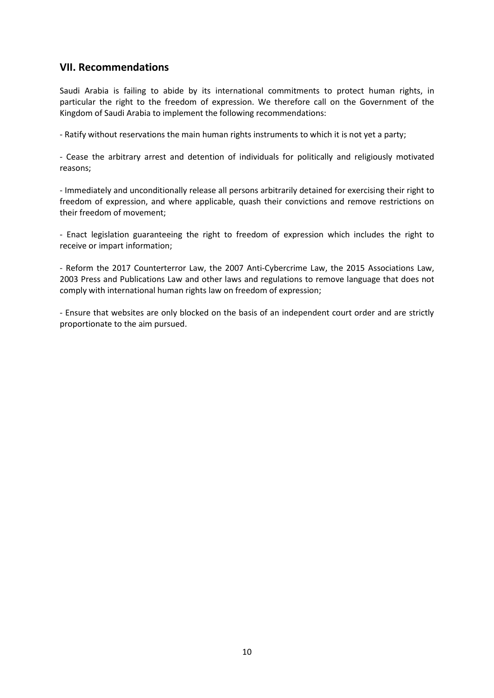#### **VII. Recommendations**

Saudi Arabia is failing to abide by its international commitments to protect human rights, in particular the right to the freedom of expression. We therefore call on the Government of the Kingdom of Saudi Arabia to implement the following recommendations:

- Ratify without reservations the main human rights instruments to which it is not yet a party;

- Cease the arbitrary arrest and detention of individuals for politically and religiously motivated reasons;

- Immediately and unconditionally release all persons arbitrarily detained for exercising their right to freedom of expression, and where applicable, quash their convictions and remove restrictions on their freedom of movement;

- Enact legislation guaranteeing the right to freedom of expression which includes the right to receive or impart information;

- Reform the 2017 [Counterterror](https://freedomhouse.org/report/freedom-net/2015/saudi-arabia) Law, the 2007 [Anti-Cybercrime](http://www.citc.gov.sa/English/RulesandSystems/CITCSyste/Documents/LA_004_%20E_%20Anti-Cyber%20Crime%20Law.pdf) Law, the 2015 Associations Law, 2003 Press and Publications Law and other laws and regulations to remove language that does not comply with international human rights law on freedom of expression;

- Ensure that websites are only blocked on the basis of an independent court order and are strictly proportionate to the aim pursued.